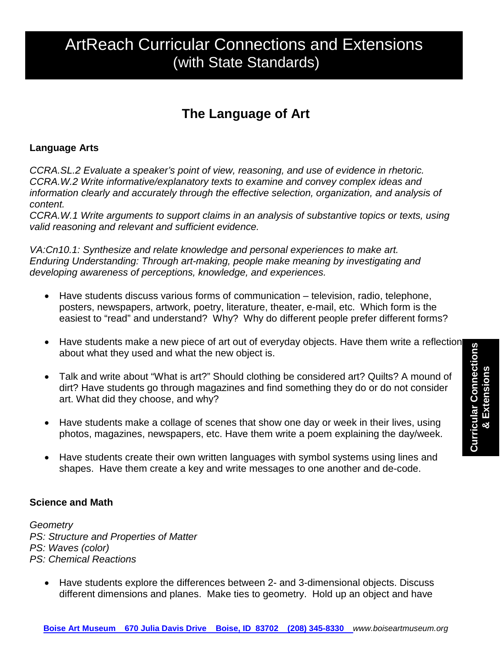# ArtReach Curricular Connections and Extensions (with State Standards)

## **The Language of Art**

#### **Language Arts**

*CCRA.SL.2 Evaluate a speaker's point of view, reasoning, and use of evidence in rhetoric. CCRA.W.2 Write informative/explanatory texts to examine and convey complex ideas and information clearly and accurately through the effective selection, organization, and analysis of content.* 

*CCRA.W.1 Write arguments to support claims in an analysis of substantive topics or texts, using valid reasoning and relevant and sufficient evidence.* 

*VA:Cn10.1: Synthesize and relate knowledge and personal experiences to make art. Enduring Understanding: Through art-making, people make meaning by investigating and developing awareness of perceptions, knowledge, and experiences.*

- Have students discuss various forms of communication television, radio, telephone, posters, newspapers, artwork, poetry, literature, theater, e-mail, etc. Which form is the easiest to "read" and understand? Why? Why do different people prefer different forms?
- Have students make a new piece of art out of everyday objects. Have them write a reflection about what they used and what the new object is.
- Talk and write about "What is art?" Should clothing be considered art? Quilts? A mound of dirt? Have students go through magazines and find something they do or do not consider art. What did they choose, and why?
- Have students make a collage of scenes that show one day or week in their lives, using photos, magazines, newspapers, etc. Have them write a poem explaining the day/week.
- Have students create their own written languages with symbol systems using lines and shapes. Have them create a key and write messages to one another and de-code.

#### **Science and Math**

*Geometry PS: Structure and Properties of Matter PS: Waves (color) PS: Chemical Reactions*

• Have students explore the differences between 2- and 3-dimensional objects. Discuss different dimensions and planes. Make ties to geometry. Hold up an object and have